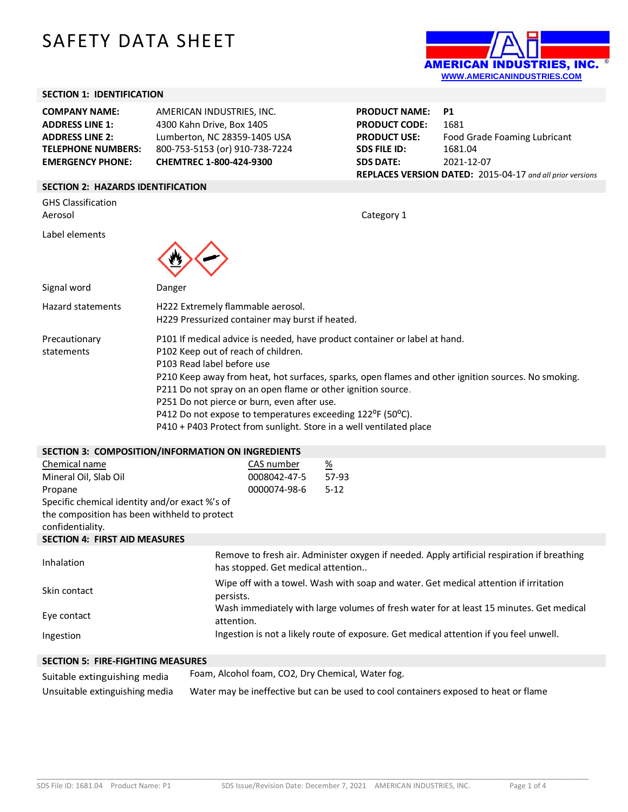# SAFETY DATA SHEET



## **SECTION 1: IDENTIFICATION**

| <b>COMPANY NAME:</b>      | AMERICAN INDUSTRIES, INC.      | <b>PRODUCT NAME: P1</b> |                                                           |
|---------------------------|--------------------------------|-------------------------|-----------------------------------------------------------|
| <b>ADDRESS LINE 1:</b>    | 4300 Kahn Drive, Box 1405      | <b>PRODUCT CODE:</b>    | 1681                                                      |
| <b>ADDRESS LINE 2:</b>    | Lumberton, NC 28359-1405 USA   | <b>PRODUCT USE:</b>     | Food Grade Foaming Lubricant                              |
| <b>TELEPHONE NUMBERS:</b> | 800-753-5153 (or) 910-738-7224 | <b>SDS FILE ID:</b>     | 1681.04                                                   |
| <b>EMERGENCY PHONE:</b>   | <b>CHEMTREC 1-800-424-9300</b> | <b>SDS DATE:</b>        | 2021-12-07                                                |
|                           |                                |                         | REPLACES VERSION DATED: 2015-04-17 and all prior versions |

#### **SECTION 2: HAZARDS IDENTIFICATION**

| <b>GHS Classification</b><br>Aerosol | Category 1                                                                                                                                                                                                                                             |
|--------------------------------------|--------------------------------------------------------------------------------------------------------------------------------------------------------------------------------------------------------------------------------------------------------|
| Label elements                       |                                                                                                                                                                                                                                                        |
| Signal word                          | Danger                                                                                                                                                                                                                                                 |
| <b>Hazard statements</b>             | H222 Extremely flammable aerosol.<br>H229 Pressurized container may burst if heated.                                                                                                                                                                   |
| Precautionary<br>statements          | P101 If medical advice is needed, have product container or label at hand.<br>P102 Keep out of reach of children.<br>P103 Read label before use<br>P210 Keep away from heat, hot surfaces, sparks, open flames and other ignition sources. No smoking. |

P211 Do not spray on an open flame or other ignition source.

- P251 Do not pierce or burn, even after use.
- P412 Do not expose to temperatures exceeding 122<sup>o</sup>F (50<sup>o</sup>C).
- P410 + P403 Protect from sunlight. Store in a well ventilated place

#### **SECTION 3: COMPOSITION/INFORMATION ON INGREDIENTS**

| Chemical name         | CAS number   | <u>%</u> |
|-----------------------|--------------|----------|
| Mineral Oil. Slab Oil | 0008042-47-5 | 57-93    |
| Propane               | 0000074-98-6 | $5-12$   |

Specific chemical identity and/or exact %'s of the composition has been withheld to protect

confidentiality.

**SECTION 4: FIRST AID MEASURES**

| Inhalation   | Remove to fresh air. Administer oxygen if needed. Apply artificial respiration if breathing<br>has stopped. Get medical attention |
|--------------|-----------------------------------------------------------------------------------------------------------------------------------|
| Skin contact | Wipe off with a towel. Wash with soap and water. Get medical attention if irritation<br>persists.                                 |
| Eye contact  | Wash immediately with large volumes of fresh water for at least 15 minutes. Get medical<br>attention.                             |
| Ingestion    | Ingestion is not a likely route of exposure. Get medical attention if you feel unwell.                                            |

## **SECTION 5: FIRE-FIGHTING MEASURES**

| Suitable extinguishing media   | Foam, Alcohol foam, CO2, Dry Chemical, Water fog.                                    |
|--------------------------------|--------------------------------------------------------------------------------------|
| Unsuitable extinguishing media | Water may be ineffective but can be used to cool containers exposed to heat or flame |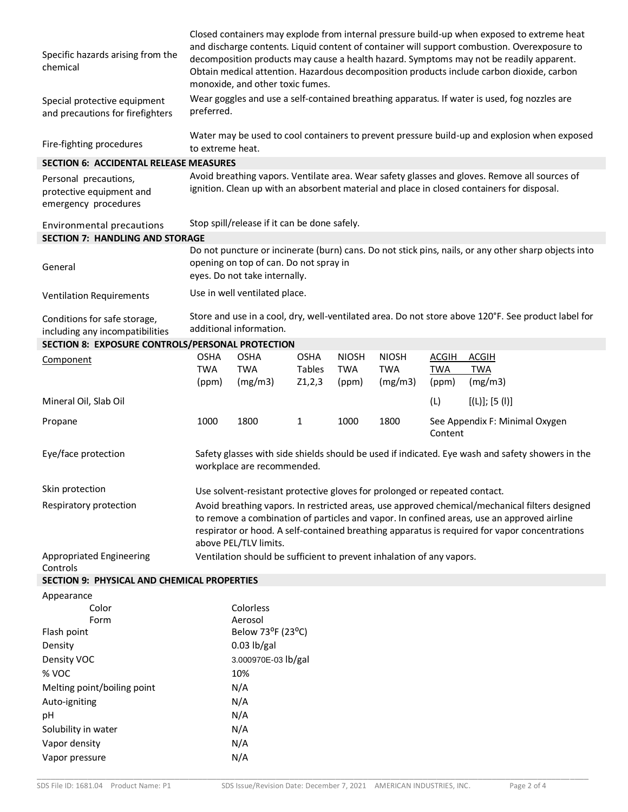| Specific hazards arising from the<br>chemical<br>Special protective equipment<br>and precautions for firefighters | Closed containers may explode from internal pressure build-up when exposed to extreme heat<br>and discharge contents. Liquid content of container will support combustion. Overexposure to<br>decomposition products may cause a health hazard. Symptoms may not be readily apparent.<br>Obtain medical attention. Hazardous decomposition products include carbon dioxide, carbon<br>monoxide, and other toxic fumes.<br>Wear goggles and use a self-contained breathing apparatus. If water is used, fog nozzles are<br>preferred. |                                                                         |                                   |                              |                                       |                                     |                                                                                                      |
|-------------------------------------------------------------------------------------------------------------------|--------------------------------------------------------------------------------------------------------------------------------------------------------------------------------------------------------------------------------------------------------------------------------------------------------------------------------------------------------------------------------------------------------------------------------------------------------------------------------------------------------------------------------------|-------------------------------------------------------------------------|-----------------------------------|------------------------------|---------------------------------------|-------------------------------------|------------------------------------------------------------------------------------------------------|
| Fire-fighting procedures                                                                                          | to extreme heat.                                                                                                                                                                                                                                                                                                                                                                                                                                                                                                                     |                                                                         |                                   |                              |                                       |                                     | Water may be used to cool containers to prevent pressure build-up and explosion when exposed         |
| <b>SECTION 6: ACCIDENTAL RELEASE MEASURES</b>                                                                     |                                                                                                                                                                                                                                                                                                                                                                                                                                                                                                                                      |                                                                         |                                   |                              |                                       |                                     |                                                                                                      |
|                                                                                                                   |                                                                                                                                                                                                                                                                                                                                                                                                                                                                                                                                      |                                                                         |                                   |                              |                                       |                                     | Avoid breathing vapors. Ventilate area. Wear safety glasses and gloves. Remove all sources of        |
| Personal precautions,<br>protective equipment and<br>emergency procedures                                         |                                                                                                                                                                                                                                                                                                                                                                                                                                                                                                                                      |                                                                         |                                   |                              |                                       |                                     | ignition. Clean up with an absorbent material and place in closed containers for disposal.           |
| Environmental precautions<br><b>SECTION 7: HANDLING AND STORAGE</b>                                               |                                                                                                                                                                                                                                                                                                                                                                                                                                                                                                                                      | Stop spill/release if it can be done safely.                            |                                   |                              |                                       |                                     |                                                                                                      |
|                                                                                                                   |                                                                                                                                                                                                                                                                                                                                                                                                                                                                                                                                      |                                                                         |                                   |                              |                                       |                                     | Do not puncture or incinerate (burn) cans. Do not stick pins, nails, or any other sharp objects into |
| General                                                                                                           |                                                                                                                                                                                                                                                                                                                                                                                                                                                                                                                                      | opening on top of can. Do not spray in<br>eyes. Do not take internally. |                                   |                              |                                       |                                     |                                                                                                      |
| <b>Ventilation Requirements</b>                                                                                   |                                                                                                                                                                                                                                                                                                                                                                                                                                                                                                                                      | Use in well ventilated place.                                           |                                   |                              |                                       |                                     |                                                                                                      |
| Conditions for safe storage,<br>including any incompatibilities                                                   |                                                                                                                                                                                                                                                                                                                                                                                                                                                                                                                                      | additional information.                                                 |                                   |                              |                                       |                                     | Store and use in a cool, dry, well-ventilated area. Do not store above 120°F. See product label for  |
| SECTION 8: EXPOSURE CONTROLS/PERSONAL PROTECTION                                                                  |                                                                                                                                                                                                                                                                                                                                                                                                                                                                                                                                      |                                                                         |                                   |                              |                                       |                                     |                                                                                                      |
| Component                                                                                                         | <b>OSHA</b><br><b>TWA</b><br>(ppm)                                                                                                                                                                                                                                                                                                                                                                                                                                                                                                   | <b>OSHA</b><br><b>TWA</b><br>(mg/m3)                                    | <b>OSHA</b><br>Tables<br>Z1, 2, 3 | <b>NIOSH</b><br>TWA<br>(ppm) | <b>NIOSH</b><br><b>TWA</b><br>(mg/m3) | <b>ACGIH</b><br><b>TWA</b><br>(ppm) | <b>ACGIH</b><br><b>TWA</b><br>(mg/m3)                                                                |
| Mineral Oil, Slab Oil                                                                                             |                                                                                                                                                                                                                                                                                                                                                                                                                                                                                                                                      |                                                                         |                                   |                              |                                       | (L)                                 | [(L)]; [5 (I)]                                                                                       |
| Propane                                                                                                           | 1000                                                                                                                                                                                                                                                                                                                                                                                                                                                                                                                                 | 1800                                                                    | 1                                 | 1000                         | 1800                                  | Content                             | See Appendix F: Minimal Oxygen                                                                       |
| Eye/face protection                                                                                               |                                                                                                                                                                                                                                                                                                                                                                                                                                                                                                                                      | workplace are recommended.                                              |                                   |                              |                                       |                                     | Safety glasses with side shields should be used if indicated. Eye wash and safety showers in the     |
| Skin protection                                                                                                   |                                                                                                                                                                                                                                                                                                                                                                                                                                                                                                                                      |                                                                         |                                   |                              |                                       |                                     |                                                                                                      |
| Respiratory protection                                                                                            | Use solvent-resistant protective gloves for prolonged or repeated contact.<br>Avoid breathing vapors. In restricted areas, use approved chemical/mechanical filters designed<br>to remove a combination of particles and vapor. In confined areas, use an approved airline<br>respirator or hood. A self-contained breathing apparatus is required for vapor concentrations<br>above PEL/TLV limits.                                                                                                                                 |                                                                         |                                   |                              |                                       |                                     |                                                                                                      |
| Appropriated Engineering<br>Controls                                                                              | Ventilation should be sufficient to prevent inhalation of any vapors.                                                                                                                                                                                                                                                                                                                                                                                                                                                                |                                                                         |                                   |                              |                                       |                                     |                                                                                                      |
| <b>SECTION 9: PHYSICAL AND CHEMICAL PROPERTIES</b>                                                                |                                                                                                                                                                                                                                                                                                                                                                                                                                                                                                                                      |                                                                         |                                   |                              |                                       |                                     |                                                                                                      |
| Appearance                                                                                                        |                                                                                                                                                                                                                                                                                                                                                                                                                                                                                                                                      |                                                                         |                                   |                              |                                       |                                     |                                                                                                      |
| Color                                                                                                             |                                                                                                                                                                                                                                                                                                                                                                                                                                                                                                                                      | Colorless                                                               |                                   |                              |                                       |                                     |                                                                                                      |
| Form                                                                                                              |                                                                                                                                                                                                                                                                                                                                                                                                                                                                                                                                      | Aerosol                                                                 |                                   |                              |                                       |                                     |                                                                                                      |
| Flash point                                                                                                       |                                                                                                                                                                                                                                                                                                                                                                                                                                                                                                                                      | Below 73 <sup>o</sup> F (23 <sup>o</sup> C)                             |                                   |                              |                                       |                                     |                                                                                                      |
| Density                                                                                                           |                                                                                                                                                                                                                                                                                                                                                                                                                                                                                                                                      | $0.03$ lb/gal                                                           |                                   |                              |                                       |                                     |                                                                                                      |
| Density VOC                                                                                                       |                                                                                                                                                                                                                                                                                                                                                                                                                                                                                                                                      | 3.000970E-03 lb/gal                                                     |                                   |                              |                                       |                                     |                                                                                                      |
| % VOC                                                                                                             |                                                                                                                                                                                                                                                                                                                                                                                                                                                                                                                                      | 10%                                                                     |                                   |                              |                                       |                                     |                                                                                                      |
| Melting point/boiling point                                                                                       |                                                                                                                                                                                                                                                                                                                                                                                                                                                                                                                                      | N/A                                                                     |                                   |                              |                                       |                                     |                                                                                                      |
| Auto-igniting                                                                                                     |                                                                                                                                                                                                                                                                                                                                                                                                                                                                                                                                      | N/A                                                                     |                                   |                              |                                       |                                     |                                                                                                      |
| рH                                                                                                                |                                                                                                                                                                                                                                                                                                                                                                                                                                                                                                                                      | N/A                                                                     |                                   |                              |                                       |                                     |                                                                                                      |
| Solubility in water                                                                                               | N/A                                                                                                                                                                                                                                                                                                                                                                                                                                                                                                                                  |                                                                         |                                   |                              |                                       |                                     |                                                                                                      |
| Vapor density                                                                                                     | N/A                                                                                                                                                                                                                                                                                                                                                                                                                                                                                                                                  |                                                                         |                                   |                              |                                       |                                     |                                                                                                      |
| Vapor pressure                                                                                                    |                                                                                                                                                                                                                                                                                                                                                                                                                                                                                                                                      | N/A                                                                     |                                   |                              |                                       |                                     |                                                                                                      |

\_\_\_\_\_\_\_\_\_\_\_\_\_\_\_\_\_\_\_\_\_\_\_\_\_\_\_\_\_\_\_\_\_\_\_\_\_\_\_\_\_\_\_\_\_\_\_\_\_\_\_\_\_\_\_\_\_\_\_\_\_\_\_\_\_\_\_\_\_\_\_\_\_\_\_\_\_\_\_\_\_\_\_\_\_\_\_\_\_\_\_\_\_\_\_\_\_\_\_\_\_\_\_\_\_\_\_\_\_\_\_\_\_\_\_\_\_\_\_\_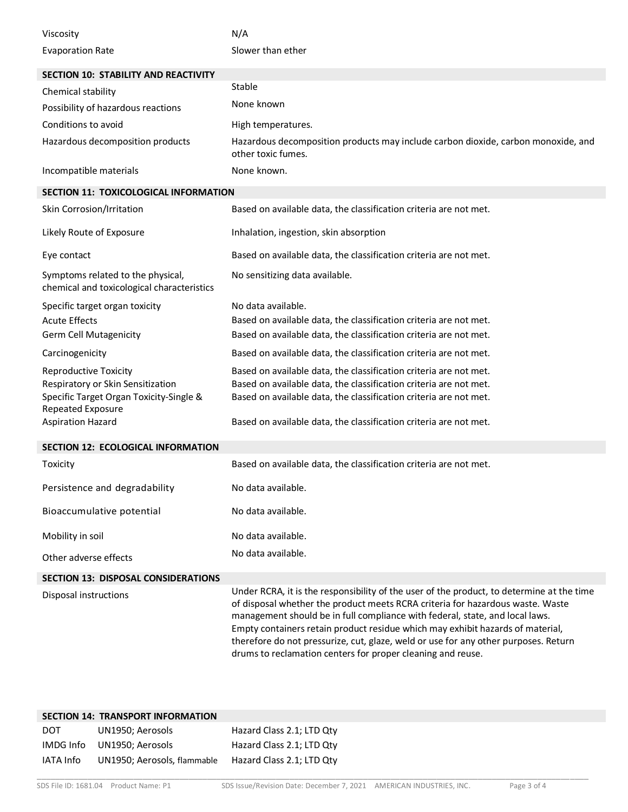| Viscosity                                                                                                                         | N/A                                                                                                                                                                                                                                                                                                                                                                                                                                                                                                 |
|-----------------------------------------------------------------------------------------------------------------------------------|-----------------------------------------------------------------------------------------------------------------------------------------------------------------------------------------------------------------------------------------------------------------------------------------------------------------------------------------------------------------------------------------------------------------------------------------------------------------------------------------------------|
| <b>Evaporation Rate</b>                                                                                                           | Slower than ether                                                                                                                                                                                                                                                                                                                                                                                                                                                                                   |
| <b>SECTION 10: STABILITY AND REACTIVITY</b>                                                                                       |                                                                                                                                                                                                                                                                                                                                                                                                                                                                                                     |
| Chemical stability                                                                                                                | Stable                                                                                                                                                                                                                                                                                                                                                                                                                                                                                              |
| Possibility of hazardous reactions                                                                                                | None known                                                                                                                                                                                                                                                                                                                                                                                                                                                                                          |
| Conditions to avoid                                                                                                               | High temperatures.                                                                                                                                                                                                                                                                                                                                                                                                                                                                                  |
| Hazardous decomposition products                                                                                                  | Hazardous decomposition products may include carbon dioxide, carbon monoxide, and<br>other toxic fumes.                                                                                                                                                                                                                                                                                                                                                                                             |
| Incompatible materials                                                                                                            | None known.                                                                                                                                                                                                                                                                                                                                                                                                                                                                                         |
| <b>SECTION 11: TOXICOLOGICAL INFORMATION</b>                                                                                      |                                                                                                                                                                                                                                                                                                                                                                                                                                                                                                     |
| Skin Corrosion/Irritation                                                                                                         | Based on available data, the classification criteria are not met.                                                                                                                                                                                                                                                                                                                                                                                                                                   |
| Likely Route of Exposure                                                                                                          | Inhalation, ingestion, skin absorption                                                                                                                                                                                                                                                                                                                                                                                                                                                              |
| Eye contact                                                                                                                       | Based on available data, the classification criteria are not met.                                                                                                                                                                                                                                                                                                                                                                                                                                   |
| Symptoms related to the physical,<br>chemical and toxicological characteristics                                                   | No sensitizing data available.                                                                                                                                                                                                                                                                                                                                                                                                                                                                      |
| Specific target organ toxicity                                                                                                    | No data available.                                                                                                                                                                                                                                                                                                                                                                                                                                                                                  |
| <b>Acute Effects</b>                                                                                                              | Based on available data, the classification criteria are not met.                                                                                                                                                                                                                                                                                                                                                                                                                                   |
| <b>Germ Cell Mutagenicity</b>                                                                                                     | Based on available data, the classification criteria are not met.                                                                                                                                                                                                                                                                                                                                                                                                                                   |
| Carcinogenicity                                                                                                                   | Based on available data, the classification criteria are not met.                                                                                                                                                                                                                                                                                                                                                                                                                                   |
| <b>Reproductive Toxicity</b><br>Respiratory or Skin Sensitization<br>Specific Target Organ Toxicity-Single &<br>Repeated Exposure | Based on available data, the classification criteria are not met.<br>Based on available data, the classification criteria are not met.<br>Based on available data, the classification criteria are not met.                                                                                                                                                                                                                                                                                         |
| <b>Aspiration Hazard</b>                                                                                                          | Based on available data, the classification criteria are not met.                                                                                                                                                                                                                                                                                                                                                                                                                                   |
| <b>SECTION 12: ECOLOGICAL INFORMATION</b>                                                                                         |                                                                                                                                                                                                                                                                                                                                                                                                                                                                                                     |
| Toxicity                                                                                                                          | Based on available data, the classification criteria are not met.                                                                                                                                                                                                                                                                                                                                                                                                                                   |
| Persistence and degradability                                                                                                     | No data available.                                                                                                                                                                                                                                                                                                                                                                                                                                                                                  |
| Bioaccumulative potential                                                                                                         | No data available.                                                                                                                                                                                                                                                                                                                                                                                                                                                                                  |
| Mobility in soil                                                                                                                  | No data available.                                                                                                                                                                                                                                                                                                                                                                                                                                                                                  |
| Other adverse effects                                                                                                             | No data available.                                                                                                                                                                                                                                                                                                                                                                                                                                                                                  |
| <b>SECTION 13: DISPOSAL CONSIDERATIONS</b>                                                                                        |                                                                                                                                                                                                                                                                                                                                                                                                                                                                                                     |
| Disposal instructions                                                                                                             | Under RCRA, it is the responsibility of the user of the product, to determine at the time<br>of disposal whether the product meets RCRA criteria for hazardous waste. Waste<br>management should be in full compliance with federal, state, and local laws.<br>Empty containers retain product residue which may exhibit hazards of material,<br>therefore do not pressurize, cut, glaze, weld or use for any other purposes. Return<br>drums to reclamation centers for proper cleaning and reuse. |

|     | <b>SECTION 14: TRANSPORT INFORMATION</b> |                           |
|-----|------------------------------------------|---------------------------|
| DOT | UN1950; Aerosols                         | Hazard Class 2.1; LTD Qty |
|     | IMDG Info UN1950; Aerosols               | Hazard Class 2.1; LTD Qty |
|     | IATA Info UN1950; Aerosols, flammable    | Hazard Class 2.1; LTD Qty |